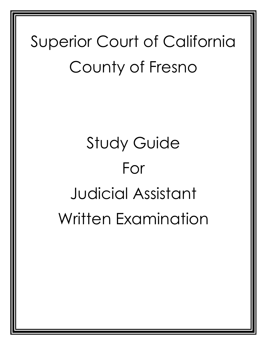# Superior Court of California County of Fresno

# Study Guide For Judicial Assistant Written Examination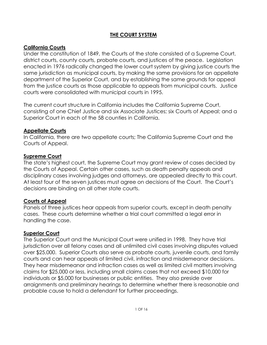#### **THE COURT SYSTEM**

#### **California Courts**

Under the constitution of 1849, the Courts of the state consisted of a Supreme Court, district courts, county courts, probate courts, and justices of the peace. Legislation enacted in 1976 radically changed the lower court system by giving justice courts the same jurisdiction as municipal courts, by making the same provisions for an appellate department of the Superior Court, and by establishing the same grounds for appeal from the justice courts as those applicable to appeals from municipal courts. Justice courts were consolidated with municipal courts in 1995.

The current court structure in California includes the California Supreme Court, consisting of one Chief Justice and six Associate Justices; six Courts of Appeal; and a Superior Court in each of the 58 counties in California.

#### **Appellate Courts**

In California, there are two appellate courts; The California Supreme Court and the Courts of Appeal.

#### **Supreme Court**

The state's highest court, the Supreme Court may grant review of cases decided by the Courts of Appeal. Certain other cases, such as death penalty appeals and disciplinary cases involving judges and attorneys, are appealed directly to this court. At least four of the seven justices must agree on decisions of the Court. The Court's decisions are binding on all other state courts.

#### **Courts of Appeal**

Panels of three justices hear appeals from superior courts, except in death penalty cases. These courts determine whether a trial court committed a legal error in handling the case.

#### **Superior Court**

The Superior Court and the Municipal Court were unified in 1998. They have trial jurisdiction over all felony cases and all unlimited civil cases involving disputes valued over \$25,000. Superior Courts also serve as probate courts, juvenile courts, and family courts and can hear appeals of limited civil, infraction and misdemeanor decisions. They hear misdemeanor and infraction cases as well as limited civil matters involving claims for \$25,000 or less, including small claims cases that not exceed \$10,000 for individuals or \$5,000 for businesses or public entities. They also preside over arraignments and preliminary hearings to determine whether there is reasonable and probable cause to hold a defendant for further proceedings.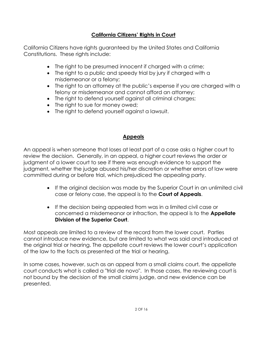#### **California Citizens' Rights in Court**

California Citizens have rights guaranteed by the United States and California Constitutions. These rights include:

- The right to be presumed innocent if charged with a crime;
- The right to a public and speedy trial by jury if charged with a misdemeanor or a felony;
- The right to an attorney at the public's expense if you are charged with a felony or misdemeanor and cannot afford an attorney;
- The right to defend yourself against all criminal charges;
- The right to sue for money owed;
- The right to defend yourself against a lawsuit.

### **Appeals**

An appeal is when someone that loses at least part of a case asks a higher court to review the decision. Generally, in an appeal, a higher court reviews the order or judgment of a lower court to see if there was enough evidence to support the judgment, whether the judge abused his/her discretion or whether errors of law were committed during or before trial, which prejudiced the appealing party.

- If the original decision was made by the Superior Court in an unlimited civil case or felony case, the appeal is to the **Court of Appeals**.
- If the decision being appealed from was in a limited civil case or concerned a misdemeanor or infraction, the appeal is to the **Appellate Division of the Superior Court**.

Most appeals are limited to a review of the record from the lower court. Parties cannot introduce new evidence, but are limited to what was said and introduced at the original trial or hearing. The appellate court reviews the lower court's application of the law to the facts as presented at the trial or hearing.

In some cases, however, such as an appeal from a small claims court, the appellate court conducts what is called a "trial de novo". In those cases, the reviewing court is not bound by the decision of the small claims judge, and new evidence can be presented.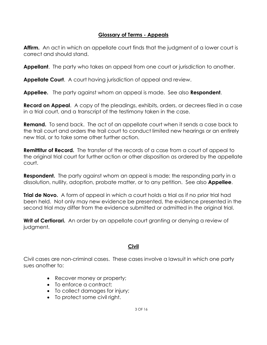#### **Glossary of Terms - Appeals**

**Affirm.** An act in which an appellate court finds that the judgment of a lower court is correct and should stand.

**Appellant**. The party who takes an appeal from one court or jurisdiction to another.

**Appellate Court**. A court having jurisdiction of appeal and review.

**Appellee.** The party against whom an appeal is made. See also **Respondent**.

**Record on Appeal**. A copy of the pleadings, exhibits, orders, or decrees filed in a case in a trial court, and a transcript of the testimony taken in the case.

**Remand.** To send back. The act of an appellate court when it sends a case back to the trail court and orders the trail court to conduct limited new hearings or an entirely new trial, or to take some other further action.

**Remittitur of Record.** The transfer of the records of a case from a court of appeal to the original trial court for further action or other disposition as ordered by the appellate court.

**Respondent.** The party against whom an appeal is made; the responding party in a dissolution, nullity, adoption, probate matter, or to any petition. See also **Appellee**.

**Trial de Novo.** A form of appeal in which a court holds a trial as if no prior trial had been held. Not only may new evidence be presented, the evidence presented in the second trial may differ from the evidence submitted or admitted in the original trial.

**Writ of Certiorari.** An order by an appellate court granting or denying a review of judgment.

#### **Civil**

Civil cases are non-criminal cases. These cases involve a lawsuit in which one party sues another to:

- Recover money or property;
- To enforce a contract;
- To collect damages for injury;
- To protect some civil right.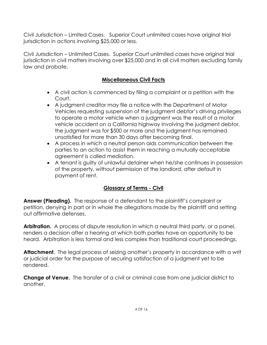Civil Jurisdiction – Limited Cases. Superior Court unlimited cases have original trial jurisdiction in actions involving \$25,000 or less.

Civil Jurisdiction – Unlimited Cases. Superior Court unlimited cases have original trial jurisdiction in civil matters involving over \$25,000 and in all civil matters excluding family law and probate.

#### **Miscellaneous Civil Facts**

- A civil action is commenced by filing a complaint or a petition with the Court.
- A judgment creditor may file a notice with the Department of Motor Vehicles requesting suspension of the judgment debtor's driving privileges to operate a motor vehicle when a judgment was the result of a motor vehicle accident on a California highway involving the judgment debtor, the judgment was for \$500 or more and the judgment has remained unsatisfied for more than 30 days after becoming final.
- A process in which a neutral person aids communication between the parties to an action to assist them in reaching a mutually acceptable agreement is called mediation.
- A tenant is guilty of unlawful detainer when he/she continues in possession of the property, without permission of the landlord, after default in payment of rent.

# **Glossary of Terms - Civil**

**Answer (Pleading).** The response of a defendant to the plaintiff's complaint or petition, denying in part or in whole the allegations made by the plaintiff and setting out affirmative defenses.

**Arbitration.** A process of dispute resolution in which a neutral third party, or a panel, renders a decision after a hearing at which both parties have an opportunity to be heard. Arbitration is less formal and less complex than traditional court proceedings.

**Attachment**. The legal process of seizing another's property in accordance with a writ or judicial order for the purpose of securing satisfaction of a judgment yet to be rendered.

**Change of Venue.** The transfer of a civil or criminal case from one judicial district to another.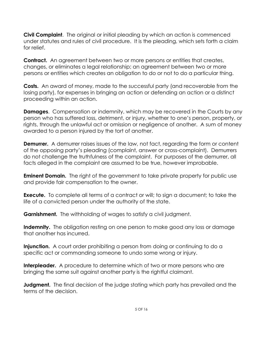**Civil Complaint**. The original or initial pleading by which an action is commenced under statutes and rules of civil procedure. It is the pleading, which sets forth a claim for relief.

**Contract.** An agreement between two or more persons or entities that creates, changes, or eliminates a legal relationship; an agreement between two or more persons or entities which creates an obligation to do or not to do a particular thing.

**Costs.** An award of money, made to the successful party (and recoverable from the losing party), for expenses in bringing an action or defending an action or a distinct proceeding within an action.

**Damages**. Compensation or indemnity, which may be recovered in the Courts by any person who has suffered loss, detriment, or injury, whether to one's person, property, or rights, through the unlawful act or omission or negligence of another. A sum of money awarded to a person injured by the tort of another.

**Demurrer.** A demurrer raises issues of the law, not fact, regarding the form or content of the opposing party's pleading (complaint, answer or cross-complaint). Demurrers do not challenge the truthfulness of the complaint. For purposes of the demurrer, all facts alleged in the complaint are assumed to be true, however improbable.

**Eminent Domain.** The right of the government to take private property for public use and provide fair compensation to the owner.

**Execute.** To complete all terms of a contract or will; to sign a document; to take the life of a convicted person under the authority of the state.

**Garnishment.** The withholding of wages to satisfy a civil judgment.

**Indemnity.** The obligation resting on one person to make good any loss or damage that another has incurred.

**Injunction.** A court order prohibiting a person from doing or continuing to do a specific act or commanding someone to undo some wrong or injury.

**Interpleader.** A procedure to determine which of two or more persons who are bringing the same suit against another party is the rightful claimant.

**Judgment.** The final decision of the judge stating which party has prevailed and the terms of the decision.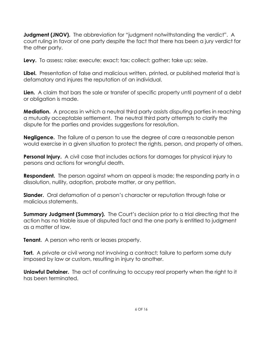**Judgment (JNOV).** The abbreviation for "judgment notwithstanding the verdict". A court ruling in favor of one party despite the fact that there has been a jury verdict for the other party.

**Levy.** To assess; raise; execute; exact; tax; collect; gather; take up; seize.

**Libel.** Presentation of false and malicious written, printed, or published material that is defamatory and injures the reputation of an individual.

**Lien.** A claim that bars the sale or transfer of specific property until payment of a debt or obligation is made.

**Mediation.** A process in which a neutral third party assists disputing parties in reaching a mutually acceptable settlement. The neutral third party attempts to clarify the dispute for the parties and provides suggestions for resolution.

**Negligence.** The failure of a person to use the degree of care a reasonable person would exercise in a given situation to protect the rights, person, and property of others.

**Personal Injury.** A civil case that includes actions for damages for physical injury to persons and actions for wrongful death.

**Respondent.** The person against whom an appeal is made; the responding party in a dissolution, nullity, adoption, probate matter, or any petition.

**Slander.** Oral defamation of a person's character or reputation through false or malicious statements.

**Summary Judgment (Summary).** The Court's decision prior to a trial directing that the action has no triable issue of disputed fact and the one party is entitled to judgment as a matter of law.

**Tenant.** A person who rents or leases property.

**Tort.** A private or civil wrong not involving a contract; failure to perform some duty imposed by law or custom, resulting in injury to another.

**Unlawful Detainer.** The act of continuing to occupy real property when the right to it has been terminated.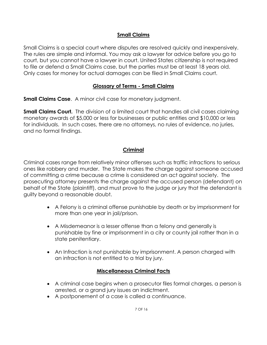#### **Small Claims**

Small Claims is a special court where disputes are resolved quickly and inexpensively. The rules are simple and informal. You may ask a lawyer for advice before you go to court, but you cannot have a lawyer in court. United States citizenship is not required to file or defend a Small Claims case, but the parties must be at least 18 years old. Only cases for money for actual damages can be filed in Small Claims court.

#### **Glossary of Terms - Small Claims**

**Small Claims Case.** A minor civil case for monetary judgment.

**Small Claims Court.** The division of a limited court that handles all civil cases claiming monetary awards of \$5,000 or less for businesses or public entities and \$10,000 or less for individuals. In such cases, there are no attorneys, no rules of evidence, no juries, and no formal findings.

#### **Criminal**

Criminal cases range from relatively minor offenses such as traffic infractions to serious ones like robbery and murder. The State makes the charge against someone accused of committing a crime because a crime is considered an act against society. The prosecuting attorney presents the charge against the accused person (defendant) on behalf of the State (plaintiff), and must prove to the judge or jury that the defendant is guilty beyond a reasonable doubt.

- A Felony is a criminal offense punishable by death or by imprisonment for more than one year in jail/prison.
- A Misdemeanor is a lesser offense than a felony and generally is punishable by fine or imprisonment in a city or county jail rather than in a state penitentiary.
- An Infraction is not punishable by imprisonment. A person charged with an infraction is not entitled to a trial by jury.

#### **Miscellaneous Criminal Facts**

- A criminal case begins when a prosecutor files formal charges, a person is arrested, or a grand jury issues an indictment.
- A postponement of a case is called a continuance.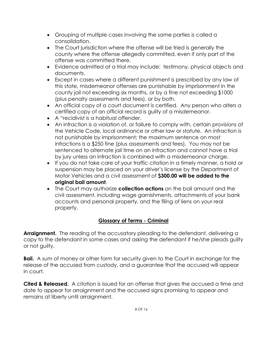- Grouping of multiple cases involving the same parties is called a consolidation.
- The Court jurisdiction where the offense will be tried is generally the county where the offense allegedly committed, even if only part of the offense was committed there.
- Evidence admitted at a trial may include: testimony, physical objects and documents.
- Except in cases where a different punishment is prescribed by any law of this state, misdemeanor offenses are punishable by imprisonment in the county jail not exceeding six months, or by a fine not exceeding \$1000 (plus penalty assessments and fees), or by both.
- An official copy of a court document is certified. Any person who alters a certified copy of an official record is guilty of a misdemeanor.
- A "recidivist is a habitual offender.
- An infraction is a violation of, or failure to comply with, certain provisions of the Vehicle Code, local ordinance or other law or statute. An infraction is not punishable by imprisonment; the maximum sentence on most infractions is a \$250 fine (plus assessments and fees). You may not be sentenced to alternate jail time on an infraction and cannot have a trial by jury unless an infraction is combined with a misdemeanor charge.
- If you do not take care of your traffic citation in a timely manner, a hold or suspension may be placed on your driver's license by the Department of Motor Vehicles and a civil assessment of **\$300.00 will be added to the original bail amount**.
- The Court may authorize **collection actions** on the bail amount and the civil assessment, including wage garnishments, attachments of your bank accounts and personal property, and the filing of liens on your real property.

# **Glossary of Terms - Criminal**

**Arraignment.** The reading of the accusatory pleading to the defendant, delivering a copy to the defendant in some cases and asking the defendant if he/she pleads guilty or not guilty.

**Bail.** A sum of money or other form for security given to the Court in exchange for the release of the accused from custody, and a guarantee that the accused will appear in court.

**Cited & Released.** A citation is issued for an offense that gives the accused a time and date to appear for arraignment and the accused signs promising to appear and remains at liberty until arraignment.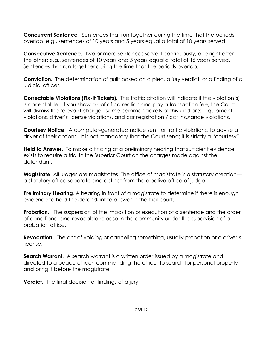**Concurrent Sentence.** Sentences that run together during the time that the periods overlap: e.g., sentences of 10 years and 5 years equal a total of 10 years served.

**Consecutive Sentence.** Two or more sentences served continuously, one right after the other: e.g., sentences of 10 years and 5 years equal a total of 15 years served. Sentences that run together during the time that the periods overlap.

**Conviction.** The determination of guilt based on a plea, a jury verdict, or a finding of a judicial officer.

**Correctable Violations (Fix-It Tickets).** The traffic citation will indicate if the violation(s) is correctable. If you show proof of correction and pay a transaction fee, the Court will dismiss the relevant charge. Some common tickets of this kind are: equipment violations, driver's license violations, and car registration / car insurance violations.

**Courtesy Notice.** A computer-generated notice sent for traffic violations, to advise a driver of their options. It is not mandatory that the Court send; it is strictly a "courtesy".

**Held to Answer**. To make a finding at a preliminary hearing that sufficient evidence exists to require a trial in the Superior Court on the charges made against the defendant.

**Magistrate.** All judges are magistrates. The office of magistrate is a statutory creation a statutory office separate and distinct from the elective office of judge.

**Preliminary Hearing.** A hearing in front of a magistrate to determine if there is enough evidence to hold the defendant to answer in the trial court.

**Probation.** The suspension of the imposition or execution of a sentence and the order of conditional and revocable release in the community under the supervision of a probation office.

**Revocation.** The act of voiding or canceling something, usually probation or a driver's license.

**Search Warrant.** A search warrant is a written order issued by a magistrate and directed to a peace officer, commanding the officer to search for personal property and bring it before the magistrate.

**Verdict.** The final decision or findings of a jury.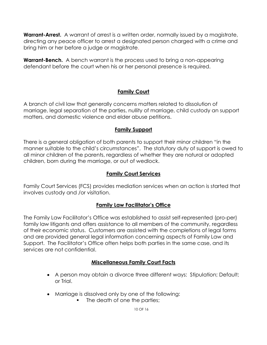**Warrant-Arrest.** A warrant of arrest is a written order, normally issued by a magistrate, directing any peace officer to arrest a designated person charged with a crime and bring him or her before a judge or magistrate.

**Warrant-Bench.** A bench warrant is the process used to bring a non-appearing defendant before the court when his or her personal presence is required.

#### **Family Court**

A branch of civil law that generally concerns matters related to dissolution of marriage, legal separation of the parties, nullity of marriage, child custody an support matters, and domestic violence and elder abuse petitions.

#### **Family Support**

There is a general obligation of both parents to support their minor children "in the manner suitable to the child's circumstances". The statutory duty of support is owed to all minor children of the parents, regardless of whether they are natural or adopted children, born during the marriage, or out of wedlock.

#### **Family Court Services**

Family Court Services (FCS) provides mediation services when an action is started that involves custody and /or visitation.

#### **Family Law Facilitator's Office**

The Family Law Facilitator's Office was established to assist self-represented (pro-per) family law litigants and offers assistance to all members of the community, regardless of their economic status. Customers are assisted with the completions of legal forms and are provided general legal information concerning aspects of Family Law and Support. The Facilitator's Office often helps both parties in the same case, and its services are not confidential.

#### **Miscellaneous Family Court Facts**

- A person may obtain a divorce three different ways: Stipulation; Default; or Trial.
- Marriage is dissolved only by one of the following:
	- The death of one the parties;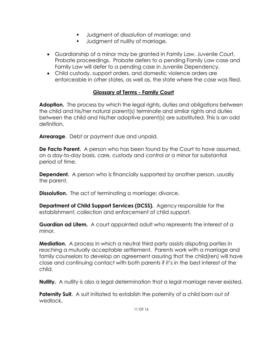- Judgment of dissolution of marriage; and
- **Judgment of nullity of marriage.**
- Guardianship of a minor may be granted in Family Law, Juvenile Court, Probate proceedings. Probate defers to a pending Family Law case and Family Law will defer to a pending case in Juvenile Dependency.
- Child custody, support orders, and domestic violence orders are enforceable in other states, as well as, the state where the case was filed.

#### **Glossary of Terms - Family Court**

**Adoption.** The process by which the legal rights, duties and obligations between the child and his/her natural parent(s) terminate and similar rights and duties between the child and his/her adoptive parent(s) are substituted. This is an odd definition.

**Arrearage**. Debt or payment due and unpaid.

**De Facto Parent.** A person who has been found by the Court to have assumed, on a day-to-day basis, care, custody and control or a minor for substantial period of time.

**Dependent.** A person who is financially supported by another person, usually the parent.

**Dissolution.** The act of terminating a marriage; divorce.

**Department of Child Support Services (DCSS).** Agency responsible for the establishment, collection and enforcement of child support.

**Guardian ad Litem.** A court appointed adult who represents the interest of a minor.

**Mediation.** A process in which a neutral third party assists disputing parties in reaching a mutually acceptable settlement. Parents work with a marriage and family counselors to develop an agreement assuring that the child(ren) will have close and continuing contact with both parents if it's in the best interest of the child.

**Nullity.** A nullity is also a legal determination that a legal marriage never existed.

**Paternity Suit.** A suit initiated to establish the paternity of a child born out of wedlock.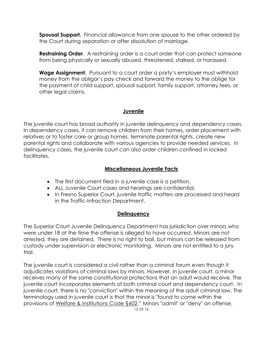**Spousal Support.** Financial allowance from one spouse to the other ordered by the Court during separation or after dissolution of marriage.

**Restraining Order**. A restraining order is a court order that can protect someone from being physically or sexually abused, threatened, stalked, or harassed.

**Wage Assignment.** Pursuant to a court order a party's employer must withhold money from the obligor's pay check and forward the money to the oblige for the payment of child support, spousal support, family support, attorney fees, or other legal claims.

#### **Juvenile**

The juvenile court has broad authority in juvenile delinquency and dependency cases. In dependency cases, it can remove children from their homes, order placement with relatives or to foster care or group homes, terminate parental rights, create new parental rights and collaborate with various agencies to provide needed services. In delinquency cases, the juvenile court can also order children confined in locked facilitates.

#### **Miscellaneous Juvenile Facts**

- The first document filed in a juvenile case is a petition.
- ALL Juvenile Court cases and hearings are confidential.
- In Fresno Superior Court, juvenile traffic matters are processed and heard in the Traffic-Infraction Department.

#### **Delinquency**

The Superior Court Juvenile Delinquency Department has jurisdiction over minors who were under 18 at the time the offense is alleged to have occurred. Minors are not arrested, they are detained. There is no right to bail, but minors can be released from custody under supervision or electronic monitoring. Minors are not entitled to a jury trial.

The juvenile court is considered a civil rather than a criminal forum even though it adjudicates violations of criminal laws by minors. However, in juvenile court, a minor receives many of the same constitutional protections that an adult would receive. The juvenile court incorporates elements of both criminal court and dependency court. In juvenile court, there is no "conviction" within the meaning of the adult criminal law. The terminology used in juvenile court is that the minor is "found to come within the provisions of [Welfare & Institutions](http://online.ceb.com/CalCodes/code.asp?code=WIC§ion=602) Code §602." Minors "admit" or "deny" an offense,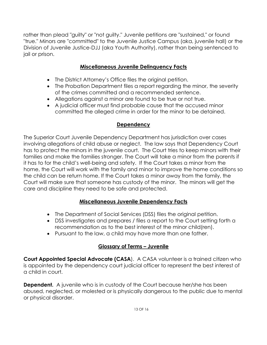rather than plead "guilty" or "not guilty." Juvenile petitions are "sustained," or found "true." Minors are "committed" to the Juvenile Justice Campus (aka, juvenile hall) or the Division of Juvenile Justice-DJJ (aka Youth Authority), rather than being sentenced to jail or prison.

# **Miscellaneous Juvenile Delinquency Facts**

- The District Attorney's Office files the original petition.
- The Probation Department files a report regarding the minor, the severity of the crimes committed and a recommended sentence.
- Allegations against a minor are found to be true or not true.
- A judicial officer must find probable cause that the accused minor committed the alleged crime in order for the minor to be detained.

#### **Dependency**

The Superior Court Juvenile Dependency Department has jurisdiction over cases involving allegations of child abuse or neglect. The law says that Dependency Court has to protect the minors in the juvenile court. The Court tries to keep minors with their families and make the families stronger. The Court will take a minor from the parents if it has to for the child's well-being and safety. If the Court takes a minor from the home, the Court will work with the family and minor to improve the home conditions so the child can be return home. If the Court takes a minor away from the family, the Court will make sure that someone has custody of the minor. The minors will get the care and discipline they need to be safe and protected.

#### **Miscellaneous Juvenile Dependency Facts**

- The Department of Social Services (DSS) files the original petition.
- DSS investigates and prepares / files a report to the Court setting forth a recommendation as to the best interest of the minor child(ren).
- Pursuant to the law, a child may have more than one father.

# **Glossary of Terms – Juvenile**

**Court Appointed Special Advocate (CASA).** A CASA volunteer is a trained citizen who is appointed by the dependency court judicial officer to represent the best interest of a child in court.

**Dependent.** A juvenile who is in custody of the Court because her/she has been abused, neglected, or molested or is physically dangerous to the public due to mental or physical disorder.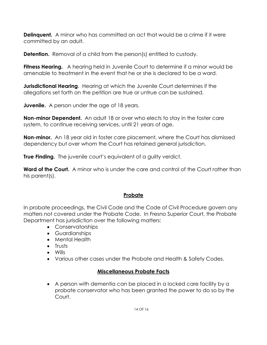**Delinquent.** A minor who has committed an act that would be a crime if it were committed by an adult.

**Detention.** Removal of a child from the person(s) entitled to custody.

**Fitness Hearing.** A hearing held in Juvenile Court to determine if a minor would be amenable to treatment in the event that he or she is declared to be a ward.

**Jurisdictional Hearing**. Hearing at which the Juvenile Court determines if the allegations set forth on the petition are true or untrue can be sustained.

**Juvenile.** A person under the age of 18 years.

**Non-minor Dependent.** An adult 18 or over who elects to stay in the foster care system, to continue receiving services, until 21 years of age.

**Non-minor.** An 18 year old in foster care placement, where the Court has dismissed dependency but over whom the Court has retained general jurisdiction.

**True Finding.** The juvenile court's equivalent of a guilty verdict.

**Ward of the Court.** A minor who is under the care and control of the Court rather than his parent(s).

#### **Probate**

In probate proceedings, the Civil Code and the Code of Civil Procedure govern any matters not covered under the Probate Code. In Fresno Superior Court, the Probate Department has jurisdiction over the following matters:

- Conservatorships
- Guardianships
- Mental Health
- Trusts
- Wills
- Various other cases under the Probate and Health & Safety Codes.

#### **Miscellaneous Probate Facts**

 A person with dementia can be placed in a locked care facility by a probate conservator who has been granted the power to do so by the Court.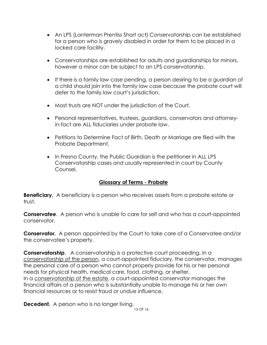- An LPS (Lanterman Prentiss Short act) Conservatorship can be established for a person who is gravely disabled in order for them to be placed in a locked care facility.
- Conservatorships are established for adults and guardianships for minors, however a minor can be subject to an LPS conservatorship.
- If there is a family law case pending, a person desiring to be a guardian of a child should join into the family law case because the probate court will defer to the family law court's jurisdiction.
- Most trusts are NOT under the jurisdiction of the Court.
- Personal representatives, trustees, guardians, conservators and attorneyin-fact are ALL fiduciaries under probate law.
- Petitions to Determine Fact of Birth, Death or Marriage are filed with the Probate Department.
- In Fresno County, the Public Guardian is the petitioner in ALL LPS Conservatorship cases and usually represented in court by County Counsel.

#### **Glossary of Terms - Probate**

**Beneficiary.** A beneficiary is a person who receives assets from a probate estate or trust.

**Conservatee**. A person who is unable to care for self and who has a court-appointed conservator.

**Conservator.** A person appointed by the Court to take care of a Conservatee and/or the conservatee's property.

**Conservatorship**. A conservatorship is a protective court proceeding. In a conservatorship of the person, a court-appointed fiduciary, the conservator, manages the personal care of a person who cannot properly provide for his or her personal needs for physical health, medical care, food, clothing, or shelter. In a conservatorship of the estate, a court-appointed conservator manages the financial affairs of a person who is substantially unable to manage his or her own financial resources or to resist fraud or undue influence.

**Decedent.** A person who is no longer living.